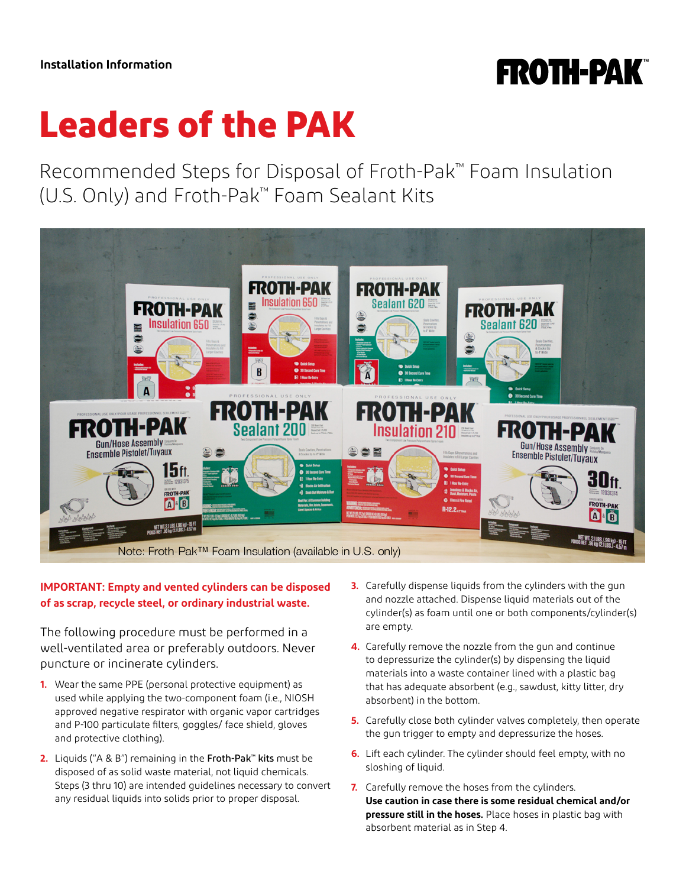## **FROTH-PAK**

# **Leaders of the PAK**

Recommended Steps for Disposal of Froth-Pak™ Foam Insulation (U.S. Only) and Froth-Pak™ Foam Sealant Kits



### **IMPORTANT: Empty and vented cylinders can be disposed of as scrap, recycle steel, or ordinary industrial waste.**

The following procedure must be performed in a well-ventilated area or preferably outdoors. Never puncture or incinerate cylinders.

- **1.** Wear the same PPE (personal protective equipment) as used while applying the two-component foam (i.e., NIOSH approved negative respirator with organic vapor cartridges and P-100 particulate filters, goggles/ face shield, gloves and protective clothing).
- **2.** Liquids ("A & B") remaining in the Froth-Pak™ kits must be disposed of as solid waste material, not liquid chemicals. Steps (3 thru 10) are intended guidelines necessary to convert any residual liquids into solids prior to proper disposal.
- **3.** Carefully dispense liquids from the cylinders with the gun and nozzle attached. Dispense liquid materials out of the cylinder(s) as foam until one or both components/cylinder(s) are empty.
- **4.** Carefully remove the nozzle from the gun and continue to depressurize the cylinder(s) by dispensing the liquid materials into a waste container lined with a plastic bag that has adequate absorbent (e.g., sawdust, kitty litter, dry absorbent) in the bottom.
- **5.** Carefully close both cylinder valves completely, then operate the gun trigger to empty and depressurize the hoses.
- **6.** Lift each cylinder. The cylinder should feel empty, with no sloshing of liquid.
- **7.** Carefully remove the hoses from the cylinders. **Use caution in case there is some residual chemical and/or pressure still in the hoses.** Place hoses in plastic bag with absorbent material as in Step 4.